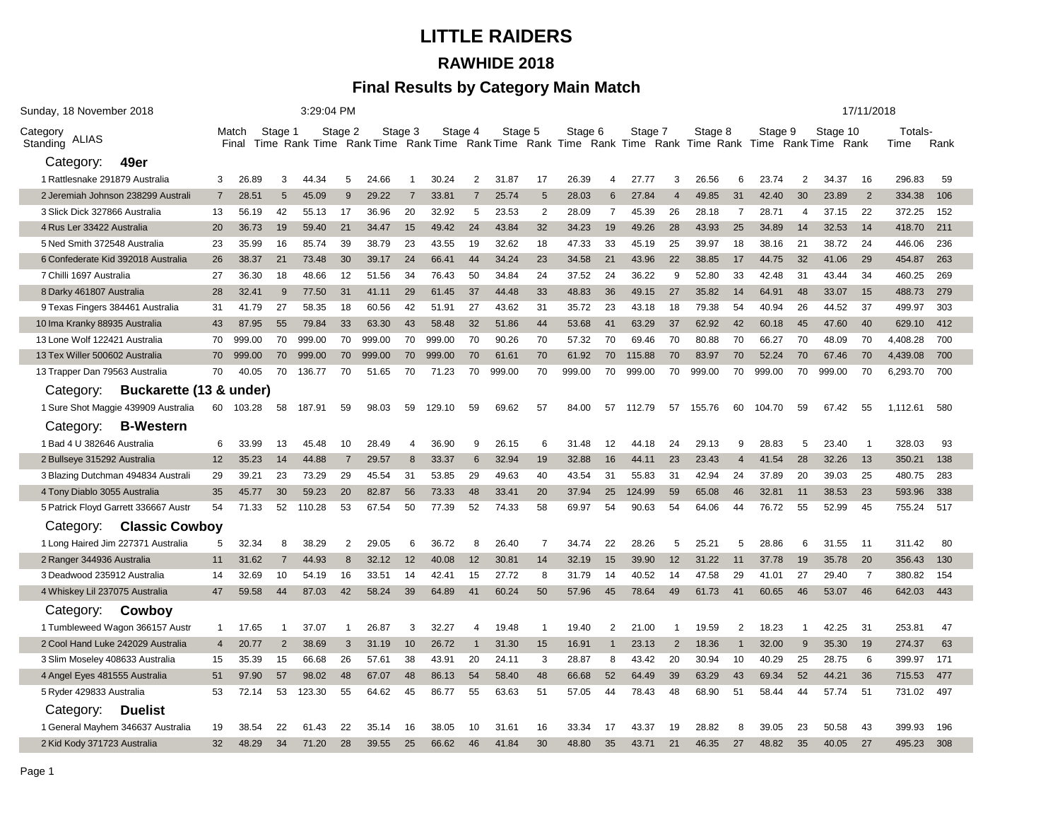# **LITTLE RAIDERS RAWHIDE 2018**

### **Final Results by Category Main Match**

| Sunday, 18 November 2018             | 3:29:04 PM                |        |                |                |                |        |                |                |                |                                                                                                 |                |         |                |                |                |         |                | 17/11/2018 |                            |                |                |                         |            |  |  |
|--------------------------------------|---------------------------|--------|----------------|----------------|----------------|--------|----------------|----------------|----------------|-------------------------------------------------------------------------------------------------|----------------|---------|----------------|----------------|----------------|---------|----------------|------------|----------------------------|----------------|----------------|-------------------------|------------|--|--|
| Category<br>ALIAS<br>Standing        | Stage 1<br>Match<br>Final |        |                |                | Stage 2        |        | Stage 3        |                | Stage 4        | Stage 5<br>Time Rank Time Rank Time Rank Time Rank Time Rank Time Rank Time Rank Time Rank Time |                | Stage 6 |                | Stage 7        |                | Stage 8 |                | Stage 9    | Stage 10<br>Rank Time Rank |                |                | Totals-<br>Rank<br>Time |            |  |  |
| 49er<br>Category:                    |                           |        |                |                |                |        |                |                |                |                                                                                                 |                |         |                |                |                |         |                |            |                            |                |                |                         |            |  |  |
| 1 Rattlesnake 291879 Australia       | 3                         | 26.89  | 3              | 44.34          | 5              | 24.66  | -1             | 30.24          | 2              | 31.87                                                                                           | 17             | 26.39   | 4              | 27.77          | 3              | 26.56   | 6              | 23.74      | 2                          | 34.37          | 16             | 296.83                  | 59         |  |  |
| 2 Jeremiah Johnson 238299 Australi   | 7                         | 28.51  | 5              | 45.09          | 9              | 29.22  | 7              | 33.81          | $\overline{7}$ | 25.74                                                                                           | 5              | 28.03   | 6              | 27.84          | $\overline{4}$ | 49.85   | 31             | 42.40      | 30                         | 23.89          | 2              | 334.38                  | 106        |  |  |
| 3 Slick Dick 327866 Australia        | 13                        | 56.19  | 42             | 55.13          | 17             | 36.96  | 20             | 32.92          | 5              | 23.53                                                                                           | $\overline{2}$ | 28.09   | $\overline{7}$ | 45.39          | 26             | 28.18   | $\overline{7}$ | 28.71      | $\overline{4}$             | 37.15          | 22             | 372.25                  | 152        |  |  |
| 4 Rus Ler 33422 Australia            | 20                        | 36.73  | 19             | 59.40          | 21             | 34.47  | 15             | 49.42          | 24             | 43.84                                                                                           | 32             | 34.23   | 19             | 49.26          | 28             | 43.93   | 25             | 34.89      | 14                         | 32.53          | 14             | 418.70                  | 211        |  |  |
| 5 Ned Smith 372548 Australia         | 23                        | 35.99  | 16             | 85.74          | 39             | 38.79  | 23             | 43.55          | 19             | 32.62                                                                                           | 18             | 47.33   | 33             | 45.19          | 25             | 39.97   | 18             | 38.16      | 21                         | 38.72          | 24             | 446.06                  | 236        |  |  |
| 6 Confederate Kid 392018 Australia   | 26                        | 38.37  | 21             | 73.48          | 30             | 39.17  | 24             | 66.41          | 44             | 34.24                                                                                           | 23             | 34.58   | 21             | 43.96          | 22             | 38.85   | 17             | 44.75      | 32                         | 41.06          | 29             | 454.87                  | 263        |  |  |
| 7 Chilli 1697 Australia              | 27                        | 36.30  | 18             | 48.66          | 12             | 51.56  | 34             | 76.43          | 50             | 34.84                                                                                           | 24             | 37.52   | 24             | 36.22          | 9              | 52.80   | 33             | 42.48      | 31                         | 43.44          | 34             | 460.25                  | 269        |  |  |
| 8 Darky 461807 Australia             | 28                        | 32.41  | -9             | 77.50          | 31             | 41.11  | 29             | 61.45          | 37             | 44.48                                                                                           | 33             | 48.83   | 36             | 49.15          | 27             | 35.82   | 14             | 64.91      | 48                         | 33.07          | 15             | 488.73                  | 279        |  |  |
| 9 Texas Fingers 384461 Australia     | 31                        | 41.79  | 27             | 58.35          | 18             | 60.56  | 42             | 51.91          | 27             | 43.62                                                                                           | 31             | 35.72   | 23             | 43.18          | 18             | 79.38   | 54             | 40.94      | 26                         | 44.52          | 37             | 499.97                  | 303        |  |  |
| 10 Ima Kranky 88935 Australia        | 43                        | 87.95  | 55             | 79.84          | 33             | 63.30  | 43             | 58.48          | 32             | 51.86                                                                                           | 44             | 53.68   | 41             | 63.29          | 37             | 62.92   | 42             | 60.18      | 45                         | 47.60          | 40             | 629.10                  | 412        |  |  |
| 13 Lone Wolf 122421 Australia        | 70                        | 999.00 | 70             | 999.00         | 70             | 999.00 | 70             | 999.00         | 70             | 90.26                                                                                           | 70             | 57.32   | 70             | 69.46          | 70             | 80.88   | 70             | 66.27      | 70                         | 48.09          | 70             | 4,408.28                | 700        |  |  |
| 13 Tex Willer 500602 Australia       | 70                        | 999.00 | 70             | 999.00         | 70             | 999.00 | 70             | 999.00         | 70             | 61.61                                                                                           | 70             | 61.92   | 70             | 115.88         | 70             | 83.97   | 70             | 52.24      | 70                         | 67.46          | 70             | 4,439.08                | 700        |  |  |
| 13 Trapper Dan 79563 Australia       | 70                        | 40.05  | 70             | 136.77         | 70             | 51.65  | 70             | 71.23          | 70             | 999.00                                                                                          | 70             | 999.00  | 70             | 999.00         | 70             | 999.00  | 70             | 999.00     | 70                         | 999.00         | 70             | 6,293.70                | 700        |  |  |
| Buckarette (13 & under)<br>Category: |                           |        |                |                |                |        |                |                |                |                                                                                                 |                |         |                |                |                |         |                |            |                            |                |                |                         |            |  |  |
| 1 Sure Shot Maggie 439909 Australia  | 60                        | 103.28 | 58             | 187.91         | 59             | 98.03  | 59             | 129.10         | 59             | 69.62                                                                                           | 57             | 84.00   | 57             | 112.79         | 57             | 155.76  | 60             | 104.70     | 59                         | 67.42          | 55             | 1,112.61                | 580        |  |  |
| Category:<br><b>B-Western</b>        |                           |        |                |                |                |        |                |                |                |                                                                                                 |                |         |                |                |                |         |                |            |                            |                |                |                         |            |  |  |
| 1 Bad 4 U 382646 Australia           | 6                         | 33.99  | 13             | 45.48          | 10             | 28.49  | $\overline{4}$ | 36.90          | 9              | 26.15                                                                                           | 6              | 31.48   | 12             | 44.18          | 24             | 29.13   | 9              | 28.83      | 5                          | 23.40          |                | 328.03                  | 93         |  |  |
| 2 Bullseye 315292 Australia          | 12                        | 35.23  | 14             | 44.88          | $\overline{7}$ | 29.57  | 8              | 33.37          | 6              | 32.94                                                                                           | 19             | 32.88   | 16             | 44.11          | 23             | 23.43   | $\overline{4}$ | 41.54      | 28                         | 32.26          | 13             | 350.21                  | 138        |  |  |
| 3 Blazing Dutchman 494834 Australi   | 29                        | 39.21  | 23             | 73.29          | 29             | 45.54  | 31             | 53.85          | 29             | 49.63                                                                                           | 40             | 43.54   | 31             | 55.83          | 31             | 42.94   | 24             | 37.89      | 20                         | 39.03          | 25             | 480.75                  | 283        |  |  |
| 4 Tony Diablo 3055 Australia         | 35                        | 45.77  | 30             | 59.23          | 20             | 82.87  | 56             | 73.33          | 48             | 33.41                                                                                           | 20             | 37.94   | 25             | 124.99         | 59             | 65.08   | 46             | 32.81      | 11                         | 38.53          | 23             | 593.96                  | 338        |  |  |
| 5 Patrick Floyd Garrett 336667 Austr | 54                        | 71.33  | 52             | 110.28         | 53             | 67.54  | 50             | 77.39          | 52             | 74.33                                                                                           | 58             | 69.97   | 54             | 90.63          | 54             | 64.06   | 44             | 76.72      | 55                         | 52.99          | 45             | 755.24                  | 517        |  |  |
| <b>Classic Cowboy</b><br>Category:   |                           |        |                |                |                |        |                |                |                |                                                                                                 |                |         |                |                |                |         |                |            |                            |                |                |                         |            |  |  |
| 1 Long Haired Jim 227371 Australia   | 5                         | 32.34  | 8              | 38.29          | $\overline{2}$ | 29.05  | 6              | 36.72          | 8              | 26.40                                                                                           | $\overline{7}$ | 34.74   | 22             | 28.26          | 5              | 25.21   | 5              | 28.86      | 6                          | 31.55          | -11            | 311.42                  | 80         |  |  |
| 2 Ranger 344936 Australia            | 11                        | 31.62  | 7              | 44.93          | 8              | 32.12  | 12             | 40.08          | 12             | 30.81                                                                                           | 14             | 32.19   | 15             | 39.90          | 12             | 31.22   | 11             | 37.78      | 19                         | 35.78          | 20             | 356.43                  | 130        |  |  |
| 3 Deadwood 235912 Australia          | 14                        | 32.69  | 10             | 54.19          | 16             | 33.51  | 14             | 42.41          | 15             | 27.72                                                                                           | 8              | 31.79   | 14             | 40.52          | 14             | 47.58   | 29             | 41.01      | 27                         | 29.40          | $\overline{7}$ | 380.82                  | 154        |  |  |
| 4 Whiskey Lil 237075 Australia       | 47                        | 59.58  | 44             | 87.03          | 42             | 58.24  | 39             | 64.89          | 41             | 60.24                                                                                           | 50             | 57.96   | 45             | 78.64          | 49             | 61.73   | 41             | 60.65      | 46                         | 53.07          | 46             | 642.03                  | 443        |  |  |
| Cowboy<br>Category:                  |                           |        |                |                |                |        |                |                |                |                                                                                                 |                |         |                |                |                |         |                |            |                            |                |                |                         |            |  |  |
| 1 Tumbleweed Wagon 366157 Austr      | $\mathbf{1}$              | 17.65  |                | 37.07          |                | 26.87  | 3              | 32.27          |                | 19.48                                                                                           | 1              | 19.40   | $\overline{2}$ | 21.00          |                | 19.59   | $\overline{2}$ | 18.23      |                            | 42.25          | 31             | 253.81                  | 47         |  |  |
| 2 Cool Hand Luke 242029 Australia    | $\overline{4}$            | 20.77  | $\overline{2}$ | 38.69          | 3              | 31.19  | 10             | 26.72          |                | 31.30                                                                                           | 15             | 16.91   | -1             | 23.13          | $\overline{2}$ | 18.36   |                | 32.00      | 9                          | 35.30          | 19             | 274.37                  | 63         |  |  |
| 3 Slim Moseley 408633 Australia      | 15                        | 35.39  | 15             | 66.68          | 26             | 57.61  | 38             | 43.91          | 20             | 24.11                                                                                           | 3              | 28.87   | 8              | 43.42          | 20             | 30.94   | 10             | 40.29      | 25                         | 28.75          | 6              | 399.97                  | 171        |  |  |
| 4 Angel Eyes 481555 Australia        | 51                        | 97.90  | 57             | 98.02          | 48             | 67.07  | 48             | 86.13          | 54             | 58.40                                                                                           | 48             | 66.68   | 52             | 64.49          | 39             | 63.29   | 43             | 69.34      | 52                         | 44.21          | 36             | 715.53                  | 477        |  |  |
| 5 Ryder 429833 Australia             | 53                        | 72.14  | 53             | 123.30         | 55             | 64.62  | 45             | 86.77          | 55             | 63.63                                                                                           | 51             | 57.05   | 44             | 78.43          | 48             | 68.90   | 51             | 58.44      | 44                         | 57.74          | 51             | 731.02                  | 497        |  |  |
| Category:<br><b>Duelist</b>          |                           |        |                |                |                |        |                |                |                |                                                                                                 |                |         |                |                |                |         |                |            |                            |                |                |                         |            |  |  |
|                                      |                           | 38.54  | 22             |                | 22             | 35.14  |                |                |                |                                                                                                 | 16             | 33.34   |                |                |                | 28.82   | 8              | 39.05      |                            |                | 43             |                         |            |  |  |
| 1 General Mayhem 346637 Australia    | 19<br>32                  | 48.29  | 34             | 61.43<br>71.20 | 28             | 39.55  | 16<br>25       | 38.05<br>66.62 | 10<br>46       | 31.61<br>41.84                                                                                  | 30             | 48.80   | 17<br>35       | 43.37<br>43.71 | 19<br>21       | 46.35   | 27             | 48.82      | 23<br>35                   | 50.58<br>40.05 | 27             | 399.93<br>495.23        | 196<br>308 |  |  |
| 2 Kid Kody 371723 Australia          |                           |        |                |                |                |        |                |                |                |                                                                                                 |                |         |                |                |                |         |                |            |                            |                |                |                         |            |  |  |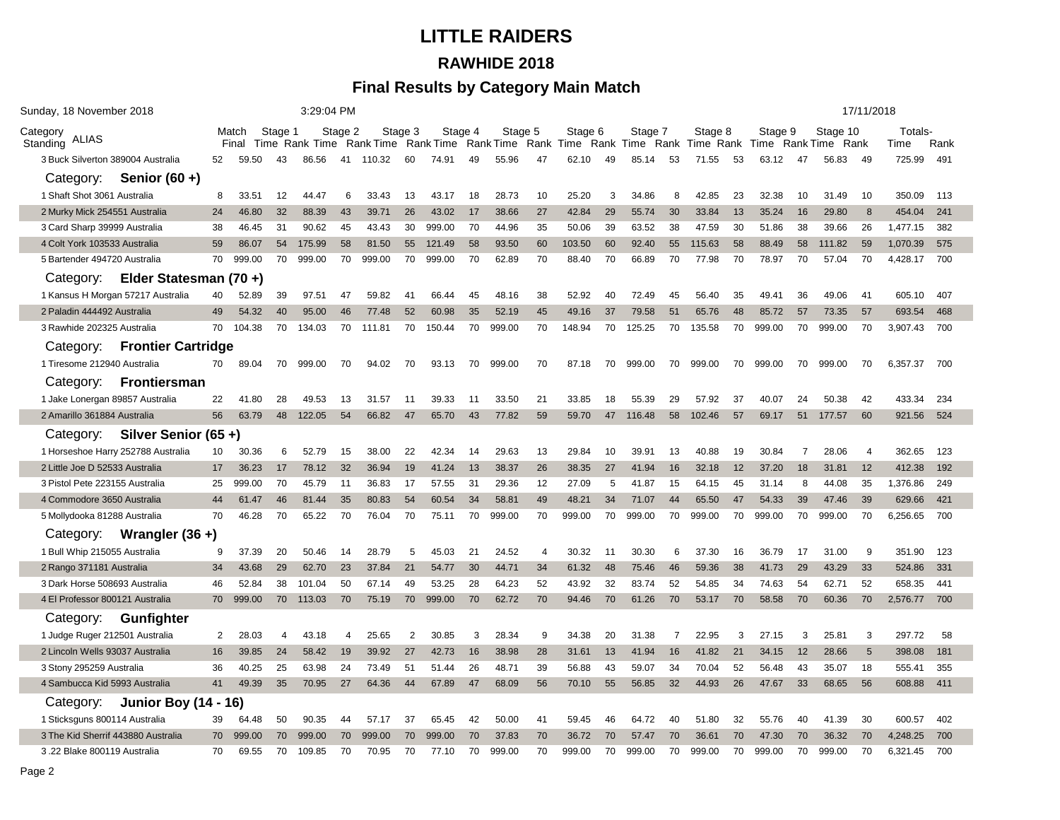# **LITTLE RAIDERS RAWHIDE 2018**

### **Final Results by Category Main Match**

| Sunday, 18 November 2018                 |                                             |        |                |        |         | 3:29:04 PM |                |                                |                      |        |         |        |                                                    |        |                |        | 17/11/2018 |                            |                |        |                         |          |     |
|------------------------------------------|---------------------------------------------|--------|----------------|--------|---------|------------|----------------|--------------------------------|----------------------|--------|---------|--------|----------------------------------------------------|--------|----------------|--------|------------|----------------------------|----------------|--------|-------------------------|----------|-----|
| Category<br>ALIAS<br>Standing            | Stage 1<br>Match<br>Time Rank Time<br>Final |        |                |        | Stage 2 |            | Stage 3        | Stage 4<br>Rank Time Rank Time | Stage 5<br>Rank Time |        | Stage 6 |        | Stage 7<br>Rank Time Rank Time Rank Time Rank Time |        | Stage 8        |        | Stage 9    | Stage 10<br>Rank Time Rank |                |        | Totals-<br>Rank<br>Time |          |     |
| 3 Buck Silverton 389004 Australia        | 52                                          | 59.50  | 43             | 86.56  | 41      | 110.32     | 60             | 74.91                          | 49                   | 55.96  | 47      | 62.10  | 49                                                 | 85.14  | 53             | 71.55  | 53         | 63.12                      | 47             | 56.83  | -49                     | 725.99   | 491 |
| Category:<br>Senior $(60 +)$             |                                             |        |                |        |         |            |                |                                |                      |        |         |        |                                                    |        |                |        |            |                            |                |        |                         |          |     |
| 1 Shaft Shot 3061 Australia              | 8                                           | 33.51  | 12             | 44.47  | 6       | 33.43      | 13             | 43.17                          | 18                   | 28.73  | 10      | 25.20  | 3                                                  | 34.86  | 8              | 42.85  | 23         | 32.38                      | 10             | 31.49  | 10                      | 350.09   | 113 |
| 2 Murky Mick 254551 Australia            | 24                                          | 46.80  | 32             | 88.39  | 43      | 39.71      | 26             | 43.02                          | 17                   | 38.66  | 27      | 42.84  | 29                                                 | 55.74  | 30             | 33.84  | 13         | 35.24                      | 16             | 29.80  | 8                       | 454.04   | 241 |
| 3 Card Sharp 39999 Australia             | 38                                          | 46.45  | 31             | 90.62  | 45      | 43.43      | 30             | 999.00                         | 70                   | 44.96  | 35      | 50.06  | 39                                                 | 63.52  | 38             | 47.59  | 30         | 51.86                      | 38             | 39.66  | 26                      | 1,477.15 | 382 |
| 4 Colt York 103533 Australia             | 59                                          | 86.07  | 54             | 175.99 | 58      | 81.50      | 55             | 121.49                         | 58                   | 93.50  | 60      | 103.50 | 60                                                 | 92.40  | 55             | 115.63 | 58         | 88.49                      | 58             | 111.82 | 59                      | 1,070.39 | 575 |
| 5 Bartender 494720 Australia             | 70                                          | 999.00 | 70             | 999.00 | 70      | 999.00     | 70             | 999.00                         | 70                   | 62.89  | 70      | 88.40  | 70                                                 | 66.89  | 70             | 77.98  | 70         | 78.97                      | 70             | 57.04  | 70                      | 4,428.17 | 700 |
| Elder Statesman (70 +)<br>Category:      |                                             |        |                |        |         |            |                |                                |                      |        |         |        |                                                    |        |                |        |            |                            |                |        |                         |          |     |
| 1 Kansus H Morgan 57217 Australia        | 40                                          | 52.89  | 39             | 97.51  | 47      | 59.82      | 41             | 66.44                          | 45                   | 48.16  | 38      | 52.92  | 40                                                 | 72.49  | 45             | 56.40  | 35         | 49.41                      | 36             | 49.06  | 41                      | 605.10   | 407 |
| 2 Paladin 444492 Australia               | 49                                          | 54.32  | 40             | 95.00  | 46      | 77.48      | 52             | 60.98                          | 35                   | 52.19  | 45      | 49.16  | 37                                                 | 79.58  | 51             | 65.76  | 48         | 85.72                      | 57             | 73.35  | 57                      | 693.54   | 468 |
| 3 Rawhide 202325 Australia               | 70                                          | 104.38 | 70             | 134.03 | 70      | 111.81     | 70             | 150.44                         | 70                   | 999.00 | 70      | 148.94 | 70                                                 | 125.25 | 70             | 135.58 | 70         | 999.00                     | 70             | 999.00 | 70                      | 3,907.43 | 700 |
| <b>Frontier Cartridge</b><br>Category:   |                                             |        |                |        |         |            |                |                                |                      |        |         |        |                                                    |        |                |        |            |                            |                |        |                         |          |     |
| 1 Tiresome 212940 Australia              | 70                                          | 89.04  | 70             | 999.00 | 70      | 94.02      | 70             | 93.13                          | 70                   | 999.00 | 70      | 87.18  | 70                                                 | 999.00 | 70             | 999.00 | 70         | 999.00                     | 70             | 999.00 | 70                      | 6,357.37 | 700 |
| <b>Frontiersman</b><br>Category:         |                                             |        |                |        |         |            |                |                                |                      |        |         |        |                                                    |        |                |        |            |                            |                |        |                         |          |     |
| 1 Jake Lonergan 89857 Australia          | 22                                          | 41.80  | 28             | 49.53  | 13      | 31.57      | 11             | 39.33                          | 11                   | 33.50  | 21      | 33.85  | 18                                                 | 55.39  | 29             | 57.92  | 37         | 40.07                      | 24             | 50.38  | 42                      | 433.34   | 234 |
| 2 Amarillo 361884 Australia              | 56                                          | 63.79  | 48             | 122.05 | 54      | 66.82      | 47             | 65.70                          | 43                   | 77.82  | 59      | 59.70  | 47                                                 | 116.48 | 58             | 102.46 | 57         | 69.17                      | 51             | 177.57 | 60                      | 921.56   | 524 |
| Silver Senior (65+)<br>Category:         |                                             |        |                |        |         |            |                |                                |                      |        |         |        |                                                    |        |                |        |            |                            |                |        |                         |          |     |
| 1 Horseshoe Harry 252788 Australia       | 10                                          | 30.36  | 6              | 52.79  | 15      | 38.00      | 22             | 42.34                          | 14                   | 29.63  | 13      | 29.84  | 10                                                 | 39.91  | 13             | 40.88  | 19         | 30.84                      | $\overline{7}$ | 28.06  | $\overline{4}$          | 362.65   | 123 |
| 2 Little Joe D 52533 Australia           | 17                                          | 36.23  | 17             | 78.12  | 32      | 36.94      | 19             | 41.24                          | 13                   | 38.37  | 26      | 38.35  | 27                                                 | 41.94  | 16             | 32.18  | 12         | 37.20                      | 18             | 31.81  | 12                      | 412.38   | 192 |
| 3 Pistol Pete 223155 Australia           | 25                                          | 999.00 | 70             | 45.79  | 11      | 36.83      | 17             | 57.55                          | 31                   | 29.36  | 12      | 27.09  | 5                                                  | 41.87  | 15             | 64.15  | 45         | 31.14                      | 8              | 44.08  | 35                      | 1,376.86 | 249 |
| 4 Commodore 3650 Australia               | 44                                          | 61.47  | 46             | 81.44  | 35      | 80.83      | 54             | 60.54                          | 34                   | 58.81  | 49      | 48.21  | 34                                                 | 71.07  | 44             | 65.50  | 47         | 54.33                      | 39             | 47.46  | 39                      | 629.66   | 421 |
| 5 Mollydooka 81288 Australia             | 70                                          | 46.28  | 70             | 65.22  | 70      | 76.04      | 70             | 75.11                          | 70                   | 999.00 | 70      | 999.00 | 70                                                 | 999.00 | 70             | 999.00 | 70         | 999.00                     | 70             | 999.00 | 70                      | 6,256.65 | 700 |
| Category:<br>Wrangler $(36 +)$           |                                             |        |                |        |         |            |                |                                |                      |        |         |        |                                                    |        |                |        |            |                            |                |        |                         |          |     |
| 1 Bull Whip 215055 Australia             | 9                                           | 37.39  | 20             | 50.46  | 14      | 28.79      | 5              | 45.03                          | 21                   | 24.52  | 4       | 30.32  | 11                                                 | 30.30  | 6              | 37.30  | 16         | 36.79                      | 17             | 31.00  | 9                       | 351.90   | 123 |
| 2 Rango 371181 Australia                 | 34                                          | 43.68  | 29             | 62.70  | 23      | 37.84      | 21             | 54.77                          | 30                   | 44.71  | 34      | 61.32  | 48                                                 | 75.46  | 46             | 59.36  | 38         | 41.73                      | 29             | 43.29  | 33                      | 524.86   | 331 |
| 3 Dark Horse 508693 Australia            | 46                                          | 52.84  | 38             | 101.04 | 50      | 67.14      | 49             | 53.25                          | 28                   | 64.23  | 52      | 43.92  | 32                                                 | 83.74  | 52             | 54.85  | 34         | 74.63                      | 54             | 62.71  | 52                      | 658.35   | 441 |
| 4 El Professor 800121 Australia          | 70                                          | 999.00 | 70             | 113.03 | 70      | 75.19      | 70             | 999.00                         | 70                   | 62.72  | 70      | 94.46  | 70                                                 | 61.26  | 70             | 53.17  | 70         | 58.58                      | 70             | 60.36  | 70                      | 2,576.77 | 700 |
| Category:<br><b>Gunfighter</b>           |                                             |        |                |        |         |            |                |                                |                      |        |         |        |                                                    |        |                |        |            |                            |                |        |                         |          |     |
| 1 Judge Ruger 212501 Australia           | 2                                           | 28.03  | $\overline{4}$ | 43.18  | 4       | 25.65      | $\overline{2}$ | 30.85                          | 3                    | 28.34  | 9       | 34.38  | 20                                                 | 31.38  | $\overline{7}$ | 22.95  | 3          | 27.15                      | 3              | 25.81  | 3                       | 297.72   | 58  |
| 2 Lincoln Wells 93037 Australia          | 16                                          | 39.85  | 24             | 58.42  | 19      | 39.92      | 27             | 42.73                          | 16                   | 38.98  | 28      | 31.61  | 13                                                 | 41.94  | 16             | 41.82  | 21         | 34.15                      | 12             | 28.66  | 5                       | 398.08   | 181 |
| 3 Stony 295259 Australia                 | 36                                          | 40.25  | 25             | 63.98  | 24      | 73.49      | 51             | 51.44                          | 26                   | 48.71  | 39      | 56.88  | 43                                                 | 59.07  | 34             | 70.04  | 52         | 56.48                      | 43             | 35.07  | 18                      | 555.41   | 355 |
| 4 Sambucca Kid 5993 Australia            | 41                                          | 49.39  | 35             | 70.95  | 27      | 64.36      | 44             | 67.89                          | 47                   | 68.09  | 56      | 70.10  | 55                                                 | 56.85  | 32             | 44.93  | 26         | 47.67                      | 33             | 68.65  | 56                      | 608.88   | 411 |
| <b>Junior Boy (14 - 16)</b><br>Category: |                                             |        |                |        |         |            |                |                                |                      |        |         |        |                                                    |        |                |        |            |                            |                |        |                         |          |     |
| 1 Sticksguns 800114 Australia            | 39                                          | 64.48  | 50             | 90.35  | 44      | 57.17      | 37             | 65.45                          | 42                   | 50.00  | 41      | 59.45  | 46                                                 | 64.72  | 40             | 51.80  | 32         | 55.76                      | 40             | 41.39  | 30                      | 600.57   | 402 |
| 3 The Kid Sherrif 443880 Australia       | 70                                          | 999.00 | 70             | 999.00 | 70      | 999.00     | 70             | 999.00                         | 70                   | 37.83  | 70      | 36.72  | 70                                                 | 57.47  | 70             | 36.61  | 70         | 47.30                      | 70             | 36.32  | 70                      | 4,248.25 | 700 |
| 3.22 Blake 800119 Australia              | 70                                          | 69.55  | 70             | 109.85 | 70      | 70.95      | 70             | 77.10                          | 70                   | 999.00 | 70      | 999.00 | 70                                                 | 999.00 | 70             | 999.00 | 70         | 999.00                     | 70             | 999.00 | 70                      | 6,321.45 | 700 |